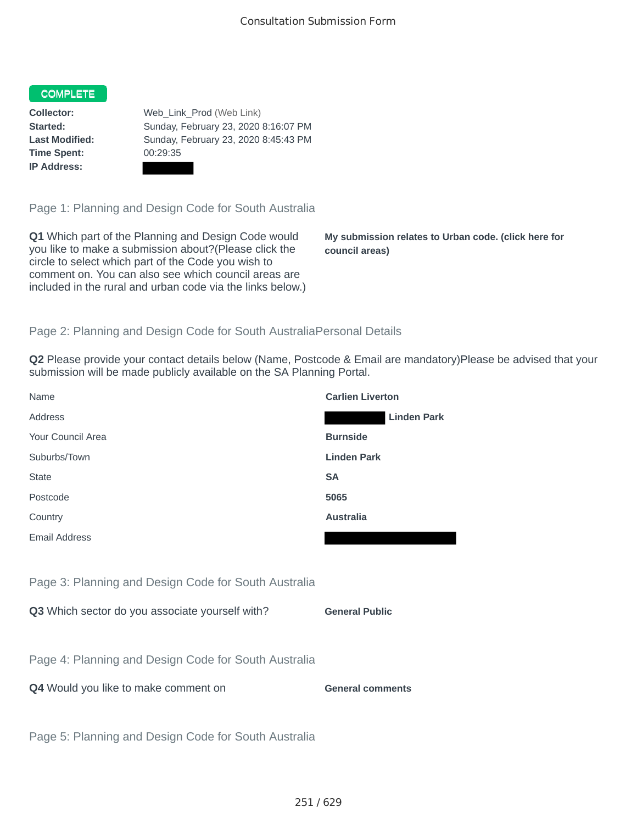## COMPLETE

**Time Spent:** 00:29:35 **IP Address:**

**Collector:** Web\_Link\_Prod (Web Link) **Started:** Sunday, February 23, 2020 8:16:07 PM **Last Modified:** Sunday, February 23, 2020 8:45:43 PM

Page 1: Planning and Design Code for South Australia

**Q1** Which part of the Planning and Design Code would you like to make a submission about?(Please click the circle to select which part of the Code you wish to comment on. You can also see which council areas are included in the rural and urban code via the links below.)

**My submission relates to Urban code. (click here for council areas)**

## Page 2: Planning and Design Code for South AustraliaPersonal Details

**Q2** Please provide your contact details below (Name, Postcode & Email are mandatory)Please be advised that your submission will be made publicly available on the SA Planning Portal.

| Name                                                 | <b>Carlien Liverton</b> |
|------------------------------------------------------|-------------------------|
| Address                                              | <b>Linden Park</b>      |
| Your Council Area                                    | <b>Burnside</b>         |
| Suburbs/Town                                         | <b>Linden Park</b>      |
| <b>State</b>                                         | <b>SA</b>               |
| Postcode                                             | 5065                    |
| Country                                              | <b>Australia</b>        |
| <b>Email Address</b>                                 |                         |
|                                                      |                         |
| Page 3: Planning and Design Code for South Australia |                         |
| Q3 Which sector do you associate yourself with?      | <b>General Public</b>   |
|                                                      |                         |
| Page 4: Planning and Design Code for South Australia |                         |
| Q4 Would you like to make comment on                 | <b>General comments</b> |
|                                                      |                         |
| Page 5: Planning and Design Code for South Australia |                         |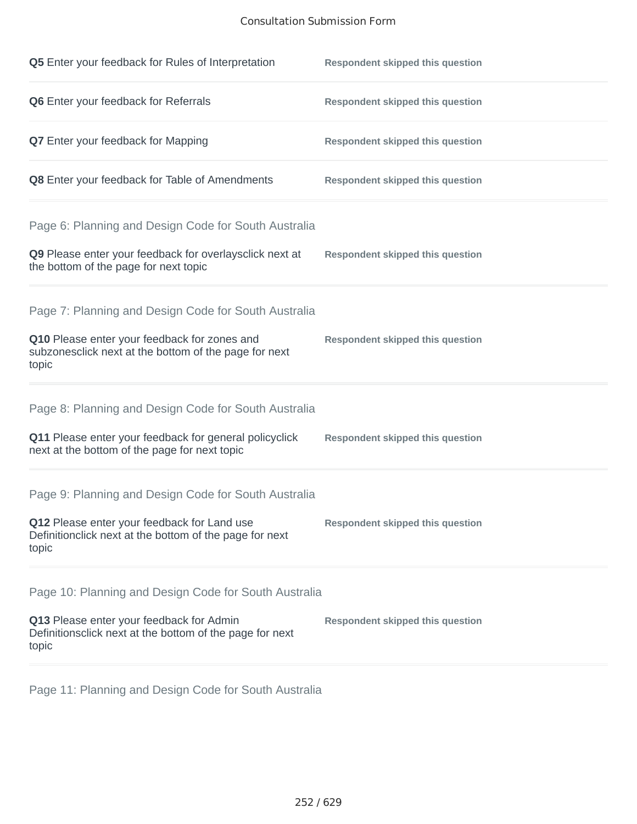## Consultation Submission Form

| Q5 Enter your feedback for Rules of Interpretation                                                                                                                      | <b>Respondent skipped this question</b> |
|-------------------------------------------------------------------------------------------------------------------------------------------------------------------------|-----------------------------------------|
| Q6 Enter your feedback for Referrals                                                                                                                                    | <b>Respondent skipped this question</b> |
| Q7 Enter your feedback for Mapping                                                                                                                                      | <b>Respondent skipped this question</b> |
| Q8 Enter your feedback for Table of Amendments                                                                                                                          | <b>Respondent skipped this question</b> |
| Page 6: Planning and Design Code for South Australia<br>Q9 Please enter your feedback for overlaysclick next at<br>the bottom of the page for next topic                | <b>Respondent skipped this question</b> |
| Page 7: Planning and Design Code for South Australia<br>Q10 Please enter your feedback for zones and<br>subzonesclick next at the bottom of the page for next<br>topic  | <b>Respondent skipped this question</b> |
| Page 8: Planning and Design Code for South Australia<br>Q11 Please enter your feedback for general policyclick<br>next at the bottom of the page for next topic         | <b>Respondent skipped this question</b> |
| Page 9: Planning and Design Code for South Australia<br>Q12 Please enter your feedback for Land use<br>Definitionclick next at the bottom of the page for next<br>topic | <b>Respondent skipped this question</b> |
| Page 10: Planning and Design Code for South Australia<br>Q13 Please enter your feedback for Admin<br>Definitionsclick next at the bottom of the page for next<br>topic  | <b>Respondent skipped this question</b> |

Page 11: Planning and Design Code for South Australia